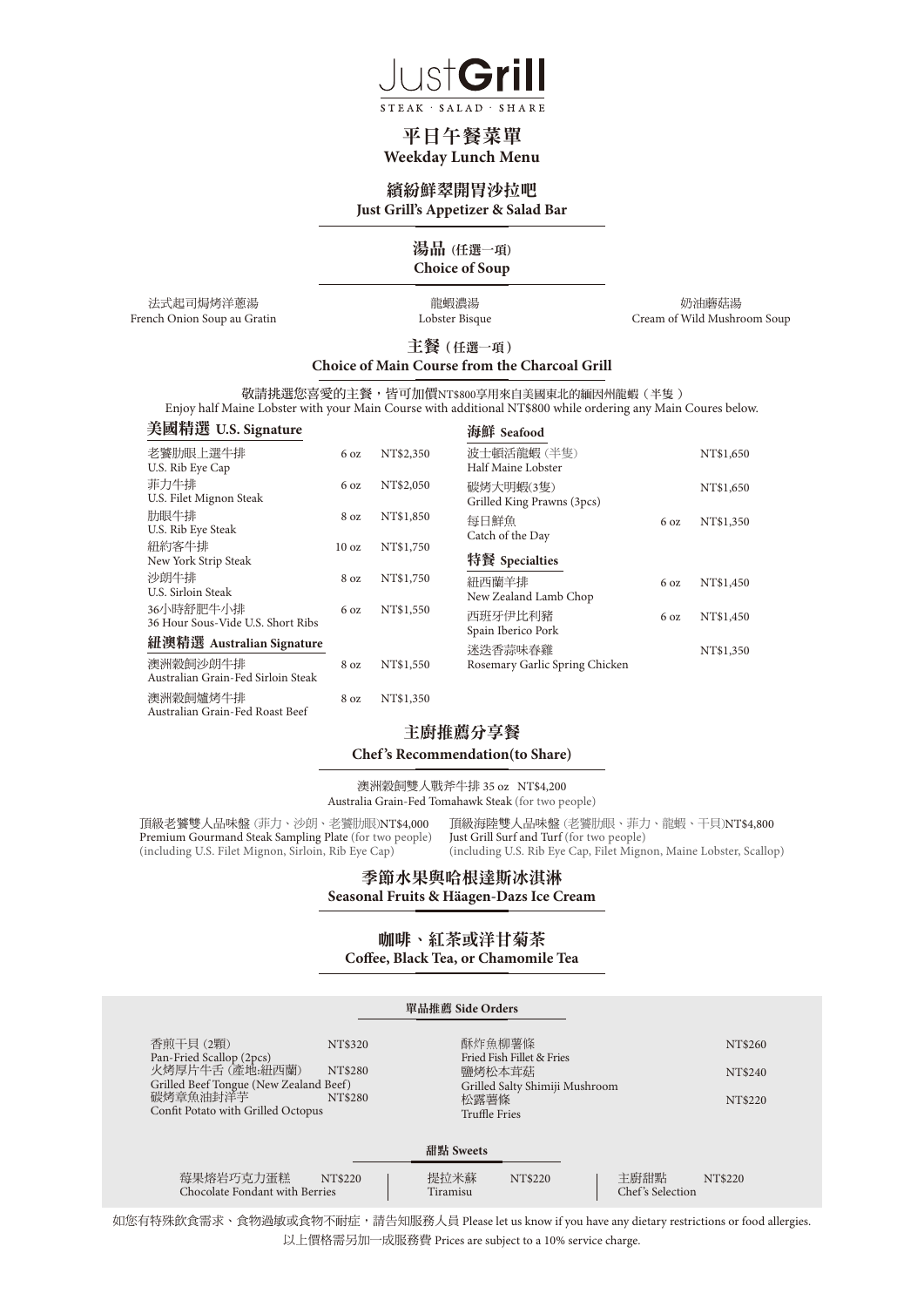## 主廚推薦分享餐

**Chef 's Recommendation(to Share)**

#### 主餐(任選一項) **Choice of Main Course from the Charcoal Grill**

敬請挑選您喜愛的主餐,皆可加價NT\$800享用來自美國東北的緬因州龍蝦(半隻) Enjoy half Maine Lobster with your Main Course with additional NT\$800 while ordering any Main Coures below.

#### 繽紛鮮翠開胃沙拉吧 **Just Grill's Appetizer & Salad Bar**

## 季節水果與哈根達斯冰淇淋 **Seasonal Fruits & Häagen-Dazs Ice Cream**

咖啡、紅茶或洋甘菊茶 **Coffee, Black Tea, or Chamomile Tea** 



# 平日午餐菜單

## **Weekday Lunch Menu**

頂級海陸雙人品味盤 (老饕肋眼、菲力、龍蝦、干貝)NT\$4,800 Just Grill Surf and Turf (for two people) (including U.S. Rib Eye Cap, Filet Mignon, Maine Lobster, Scallop)

頂級老饕雙人品味盤 (菲力、沙朗、老饕肋眼)NT\$4,000 Premium Gourmand Steak Sampling Plate (for two people) (including U.S. Filet Mignon, Sirloin, Rib Eye Cap)

如您有特殊飲食需求、食物過敏或食物不耐症,請告知服務人員 Please let us know if you have any dietary restrictions or food allergies. 以上價格需另加一成服務費 Prices are subject to a 10% service charge.

### 湯品 (任選一項) **Choice of Soup**

| 香煎干貝 (2顆)<br>NT\$320<br>Pan-Fried Scallop (2pcs)<br>火烤厚片牛舌 (產地:紐西蘭)<br>NT\$280<br>NT\$280<br>Confit Potato with Grilled Octopus | 酥炸魚柳薯條<br>Fried Fish Fillet & Fries<br>鹽烤松本茸菇<br>Grilled Salty Shimiji Mushroom<br>松露薯條<br><b>Truffle Fries</b> |                                                                      |                                                                                                                                                                                                                                   | NT\$260<br>NT\$240<br>NT\$220 |  |
|---------------------------------------------------------------------------------------------------------------------------------|-----------------------------------------------------------------------------------------------------------------|----------------------------------------------------------------------|-----------------------------------------------------------------------------------------------------------------------------------------------------------------------------------------------------------------------------------|-------------------------------|--|
|                                                                                                                                 | 甜點 Sweets                                                                                                       |                                                                      |                                                                                                                                                                                                                                   |                               |  |
| 莓果熔岩巧克力蛋糕<br>NT\$220<br>Chocolate Fondant with Berries                                                                          | 提拉米蘇<br>Tiramisu                                                                                                | <b>NT\$220</b>                                                       | 主廚甜點<br>Chef's Selection                                                                                                                                                                                                          | NT\$220                       |  |
| $\mu$ - $\mu$ - $\mu$ $\mu$ $\mu$ $\mu$ $\lambda$ $\mu$ - $\mu$<br>스 쓰느스 더 <i>난</i> 나는 스 호스 구스 디 나는                             |                                                                                                                 | <del>▝</del> ▆▘ <del>/</del> ᡰ <i>▕▄</i> ▄ਸਸਤੇਆ ▏▕▆▏▄▖▏▏▏▏▏▏▏▏▏▏▏▏▏▏ | $\mathbf{1}$ . The contract of the contract of the contract of the contract of the contract of the contract of the contract of the contract of the contract of the contract of the contract of the contract of the contract of th |                               |  |

#### 單品推薦 **Side Orders**

| 美國精選 U.S. Signature                            |                  |           | 海鮮 Seafood                              |                 |           |
|------------------------------------------------|------------------|-----------|-----------------------------------------|-----------------|-----------|
| 老饕肋眼上選牛排<br>U.S. Rib Eye Cap                   | 6 oz             | NT\$2,350 | 波士頓活龍蝦 (半隻)<br>Half Maine Lobster       |                 | NT\$1,650 |
| 菲力牛排<br>U.S. Filet Mignon Steak                | 6 oz             | NT\$2,050 | 碳烤大明蝦(3隻)<br>Grilled King Prawns (3pcs) |                 | NT\$1,650 |
| 肋眼牛排<br>U.S. Rib Eye Steak                     | 8 oz             | NT\$1,850 | 每日鮮魚<br>Catch of the Day                | 6 <sub>oz</sub> | NT\$1,350 |
| 紐約客牛排<br>New York Strip Steak                  | 10 <sub>oz</sub> | NT\$1,750 | 特餐 Specialties                          |                 |           |
| 沙朗牛排<br>U.S. Sirloin Steak                     | 8 oz             | NT\$1,750 | 紐西蘭羊排<br>New Zealand Lamb Chop          | 6 oz            | NT\$1,450 |
| 36小時舒肥牛小排<br>36 Hour Sous-Vide U.S. Short Ribs | 6 oz             | NT\$1,550 | 西班牙伊比利豬<br>Spain Iberico Pork           | 6 oz            | NT\$1,450 |
| 紐澳精選 Australian Signature                      |                  |           | 迷迭香蒜味春雞                                 |                 | NT\$1,350 |
| 澳洲穀飼沙朗牛排<br>Australian Grain-Fed Sirloin Steak | 8 oz             | NT\$1,550 | Rosemary Garlic Spring Chicken          |                 |           |
| 澳洲穀飼爐烤牛排                                       | 8 oz             | NT\$1,350 |                                         |                 |           |

Australian Grain-Fed Roast Beef

澳洲穀飼雙人戰斧牛排 35 oz NT\$4,200 Australia Grain-Fed Tomahawk Steak (for two people)

法式起司焗烤洋蔥湯 French Onion Soup au Gratin

龍蝦濃湯 Lobster Bisque

奶油蘑菇湯 Cream of Wild Mushroom Soup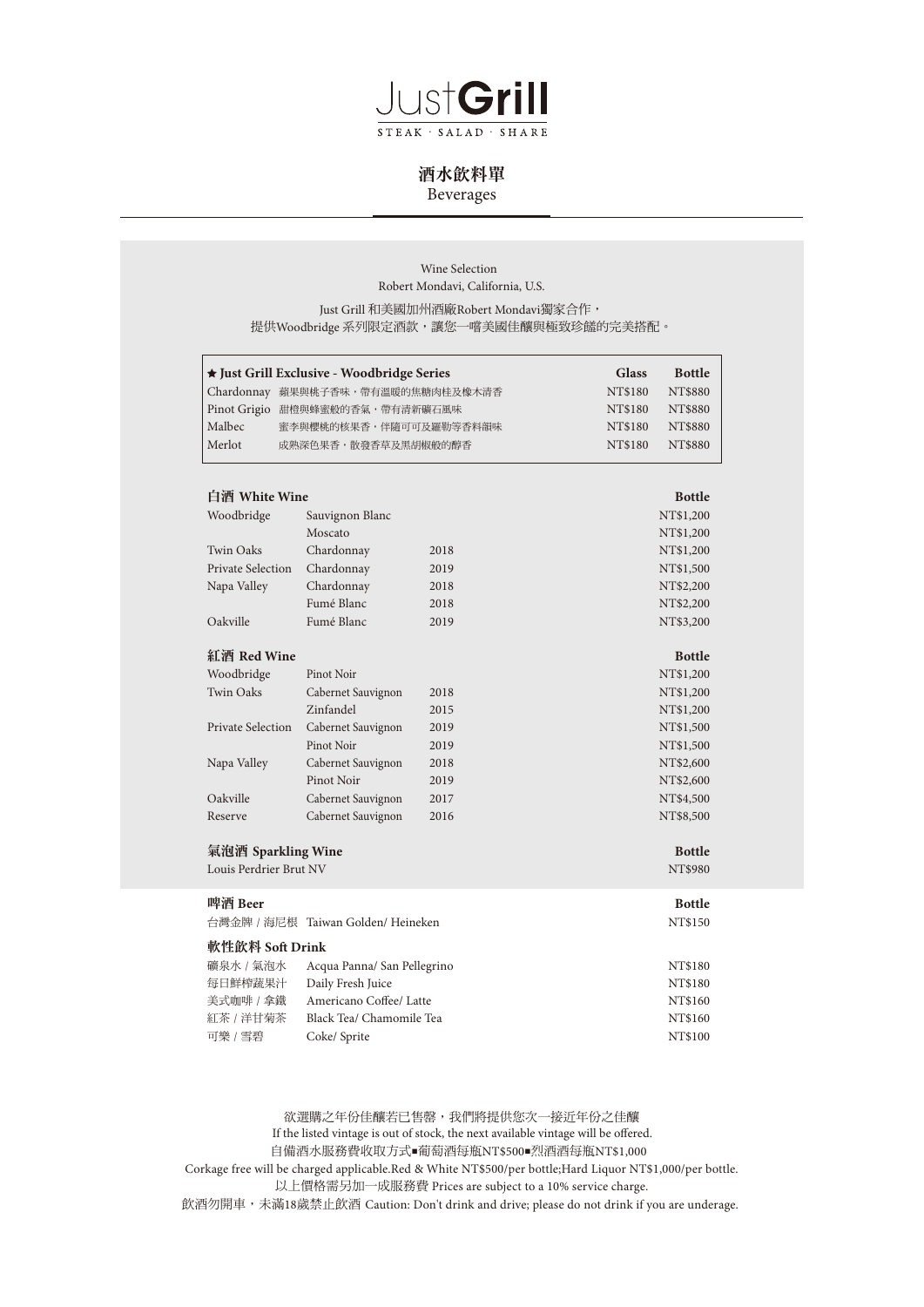

## 酒水飲料單

Beverages

|        | $\star$ Just Grill Exclusive - Woodbridge Series | <b>Glass</b> | <b>Bottle</b> |
|--------|--------------------------------------------------|--------------|---------------|
|        | Chardonnay 蘋果與桃子香味,帶有溫暖的焦糖肉桂及橡木清香                | NT\$180      | NT\$880       |
|        | Pinot Grigio 甜橙與蜂蜜般的香氣,帶有清新礦石風味                  | NT\$180      | NT\$880       |
| Malbec | 蜜李與櫻桃的核果香,伴隨可可及羅勒等香料韻味                           | NT\$180      | NT\$880       |
| Merlot | 成熟深色果香,散發香草及黑胡椒般的醇香                              | NT\$180      | NT\$880       |

| 白酒 White Wine            |                 |      | <b>Bottle</b> |
|--------------------------|-----------------|------|---------------|
| Woodbridge               | Sauvignon Blanc |      | NT\$1,200     |
|                          | Moscato         |      | NT\$1,200     |
| <b>Twin Oaks</b>         | Chardonnay      | 2018 | NT\$1,200     |
| <b>Private Selection</b> | Chardonnay      | 2019 | NT\$1,500     |
| Napa Valley              | Chardonnay      | 2018 | NT\$2,200     |
|                          | Fumé Blanc      | 2018 | NT\$2,200     |
| Oakville                 | Fumé Blanc      | 2019 | NT\$3,200     |

| 紅酒 Red Wine              |                    |      | <b>Bottle</b> |
|--------------------------|--------------------|------|---------------|
| Woodbridge               | Pinot Noir         |      | NT\$1,200     |
| <b>Twin Oaks</b>         | Cabernet Sauvignon | 2018 | NT\$1,200     |
|                          | Zinfandel          | 2015 | NT\$1,200     |
| <b>Private Selection</b> | Cabernet Sauvignon | 2019 | NT\$1,500     |
|                          | Pinot Noir         | 2019 | NT\$1,500     |
| Napa Valley              | Cabernet Sauvignon | 2018 | NT\$2,600     |
|                          | Pinot Noir         | 2019 | NT\$2,600     |
| Oakville                 | Cabernet Sauvignon | 2017 | NT\$4,500     |
| Reserve                  | Cabernet Sauvignon | 2016 | NT\$8,500     |
|                          |                    |      |               |

#### 欲選購之年份佳釀若已售罄,我們將提供您次一接近年份之佳釀 If the listed vintage is out of stock, the next available vintage will be offered. 自備酒水服務費收取方式■葡萄酒每瓶NT\$500■烈酒酒每瓶NT\$1,000 Corkage free will be charged applicable.Red & White NT\$500/per bottle;Hard Liquor NT\$1,000/per bottle.

| 氣泡酒 Sparkling Wine     | <b>Bottle</b> |
|------------------------|---------------|
| Louis Perdrier Brut NV | NT\$980       |

| 啤酒 Beer         |                                    | <b>Bottle</b> |
|-----------------|------------------------------------|---------------|
| 軟性飲料 Soft Drink | 台灣金牌 / 海尼根 Taiwan Golden/ Heineken | NT\$150       |
| 礦泉水 / 氣泡水       | Acqua Panna/ San Pellegrino        | NT\$180       |
| 每日鮮榨蔬果汁         | Daily Fresh Juice                  | NT\$180       |

|           | 美式咖啡 / 拿鐵   Americano Coffee/ Latte | NT\$160 |
|-----------|-------------------------------------|---------|
| 紅茶 / 洋甘菊茶 | Black Tea/ Chamomile Tea            | NT\$160 |
| 可樂 / 雪碧   | Coke/Sprite                         | NT\$100 |

#### Wine Selection Robert Mondavi, California, U.S.

Just Grill 和美國加州酒廠Robert Mondavi獨家合作, 提供Woodbridge 系列限定酒款,讓您一嚐美國佳釀與極致珍饈的完美搭配。

以上價格需另加一成服務費 Prices are subject to a 10% service charge.

飲酒勿開車,未滿18歲禁止飲酒 Caution: Don't drink and drive; please do not drink if you are underage.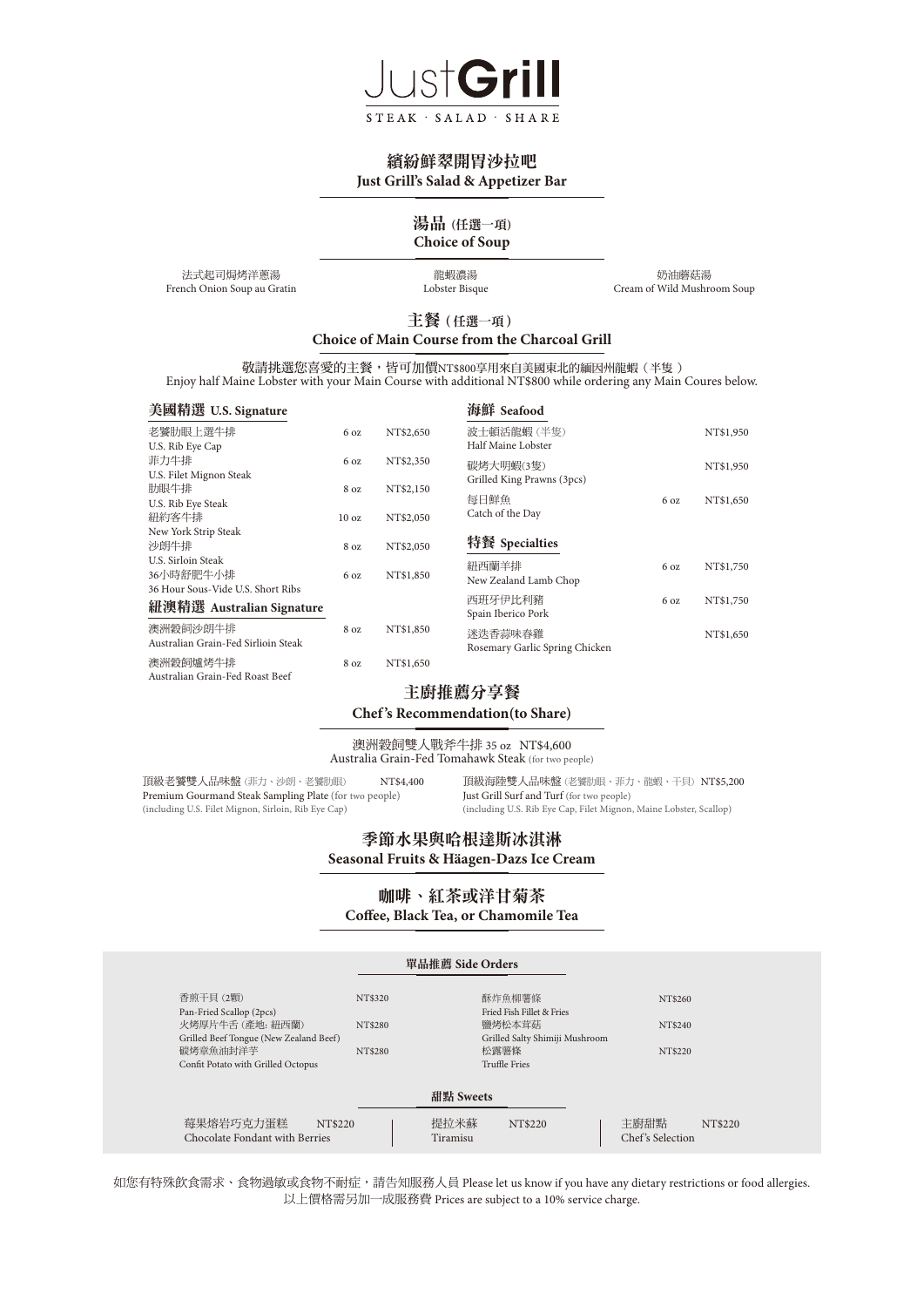## 主廚推薦分享餐

**Chef 's Recommendation(to Share)**

主餐(任選一項) **Choice of Main Course from the Charcoal Grill**

敬請挑選您喜愛的主餐,皆可加價NT\$800享用來自美國東北的緬因州龍蝦(半隻) Enjoy half Maine Lobster with your Main Course with additional NT\$800 while ordering any Main Coures below.



## 繽紛鮮翠開胃沙拉吧

**Just Grill's Salad & Appetizer Bar**

### 季節水果與哈根達斯冰淇淋 **Seasonal Fruits & Häagen-Dazs Ice Cream**

咖啡、紅茶或洋甘菊茶 **Coffee, Black Tea, or Chamomile Tea** 

頂級海陸雙人品味盤 (老饕肋眼、菲力、龍蝦、干貝) NT\$5,200 Just Grill Surf and Turf (for two people) (including U.S. Rib Eye Cap, Filet Mignon, Maine Lobster, Scallop)

頂級老饕雙人品味盤 (菲力、沙朗、老饕肋眼) NT\$4,400 Premium Gourmand Steak Sampling Plate (for two people) (including U.S. Filet Mignon, Sirloin, Rib Eye Cap)

#### 湯品 (任選一項) **Choice of Soup**

| 香煎干貝 (2顆)                                              | NT\$320 |                  | 酥炸魚柳薯條                         | NT\$260                  |         |
|--------------------------------------------------------|---------|------------------|--------------------------------|--------------------------|---------|
| Pan-Fried Scallop (2pcs)                               |         |                  | Fried Fish Fillet & Fries      |                          |         |
| 火烤厚片牛舌 (產地: 紐西蘭)                                       | NT\$280 |                  | 鹽烤松本茸菇                         | NT\$240                  |         |
| Grilled Beef Tongue (New Zealand Beef)                 |         |                  | Grilled Salty Shimiji Mushroom |                          |         |
| 碳烤章魚油封洋芋                                               | NT\$280 |                  | 松露薯條                           | NT\$220                  |         |
| Confit Potato with Grilled Octopus                     |         |                  | <b>Truffle Fries</b>           |                          |         |
|                                                        |         |                  |                                |                          |         |
|                                                        |         | 甜點 Sweets        |                                |                          |         |
| 莓果熔岩巧克力蛋糕<br>NT\$220<br>Chocolate Fondant with Berries |         | 提拉米蘇<br>Tiramisu | NT\$220                        | 主廚甜點<br>Chef's Selection | NT\$220 |

單品推薦 **Side Orders**

如您有特殊飲食需求、食物過敏或食物不耐症,請告知服務人員 Please let us know if you have any dietary restrictions or food allergies. 以上價格需另加一成服務費 Prices are subject to a 10% service charge.

法式起司焗烤洋蔥湯 French Onion Soup au Gratin

龍蝦濃湯 Lobster Bisque

奶油蘑菇湯 Cream of Wild Mushroom Soup

澳洲穀飼雙人戰斧牛排 35 oz NT\$4,600 Australia Grain-Fed Tomahawk Steak (for two people)

| 美國精選 U.S. Signature                                                  |                  |           | 海鮮 Seafood                                |                 |           |
|----------------------------------------------------------------------|------------------|-----------|-------------------------------------------|-----------------|-----------|
| 老饕肋眼上選牛排<br>U.S. Rib Eye Cap                                         | 6 oz             | NT\$2,650 | 波士頓活龍蝦 (半隻)<br>Half Maine Lobster         |                 | NT\$1,950 |
| 菲力牛排<br>U.S. Filet Mignon Steak                                      | 6 oz             | NT\$2,350 | 碳烤大明蝦(3隻)<br>Grilled King Prawns (3pcs)   |                 | NT\$1,950 |
| 肋眼牛排<br>U.S. Rib Eye Steak                                           | 8 oz             | NT\$2,150 | 每日鮮魚                                      | 6 <sub>oz</sub> | NT\$1,650 |
| 紐約客牛排                                                                | 10 <sub>oz</sub> | NT\$2,050 | Catch of the Day                          |                 |           |
| New York Strip Steak<br>沙朗牛排                                         | 8 oz             | NT\$2,050 | 特餐 Specialties                            |                 |           |
| U.S. Sirloin Steak<br>36小時舒肥牛小排<br>36 Hour Sous-Vide U.S. Short Ribs | 6 oz             | NT\$1,850 | 紐西蘭羊排<br>New Zealand Lamb Chop            | 6 oz            | NT\$1,750 |
| 紐澳精選 Australian Signature                                            |                  |           | 西班牙伊比利豬<br>Spain Iberico Pork             | 6 <sub>oz</sub> | NT\$1,750 |
| 澳洲穀飼沙朗牛排<br>Australian Grain-Fed Sirlioin Steak                      | 8 oz             | NT\$1,850 | 迷迭香蒜味春雞<br>Rosemary Garlic Spring Chicken |                 | NT\$1,650 |
| 澳洲穀飼爐烤牛排                                                             | 8 oz             | NT\$1,650 |                                           |                 |           |

Australian Grain-Fed Roast Beef